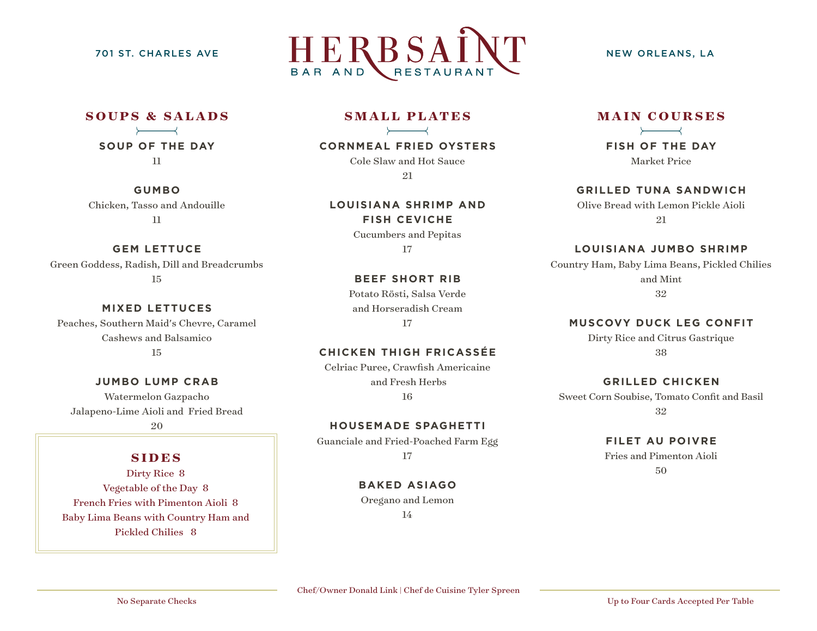

## **SOUPS & SALADS SOUP OF THE DAY**

11

**GUMBO** Chicken, Tasso and Andouille 11

#### **GEM LETTUCE**

Green Goddess, Radish, Dill and Breadcrumbs 15

## **MIXED LETTUCES**

Peaches, Southern Maid's Chevre, Caramel Cashews and Balsamico 15

#### **JUMBO LUMP CRAB**

Watermelon Gazpacho Jalapeno-Lime Aioli and Fried Bread 20

### **SIDES**

Dirty Rice 8 Vegetable of the Day 8 French Fries with Pimenton Aioli 8 Baby Lima Beans with Country Ham and Pickled Chilies 8

#### **SMALL PLATES**

#### **CORNMEAL FRIED OYSTERS**

Cole Slaw and Hot Sauce 21

**LOUISIANA SHRIMP AND FISH CEVICHE** Cucumbers and Pepitas

17

#### **BEEF SHORT RIB**

Potato Rösti, Salsa Verde and Horseradish Cream 17

#### **CHICKEN THIGH FRICASSÉE**

Celriac Puree, Crawfish Americaine and Fresh Herbs 16

#### **HOUSEMADE SPAGHETTI**

Guanciale and Fried-Poached Farm Egg 17

### **BAKED ASIAGO**

Oregano and Lemon

14

#### **MAIN COURSES**

**FISH OF THE DAY** Market Price

**GRILLED TUNA SANDWICH**

Olive Bread with Lemon Pickle Aioli 21

#### **LOUISIANA JUMBO SHRIMP**

Country Ham, Baby Lima Beans, Pickled Chilies and Mint 32

#### **MUSCOVY DUCK LEG CONFIT**

Dirty Rice and Citrus Gastrique 38

#### **GRILLED CHICKEN**

Sweet Corn Soubise, Tomato Confit and Basil 32

#### **FILET AU POIVRE**

Fries and Pimenton Aioli 50